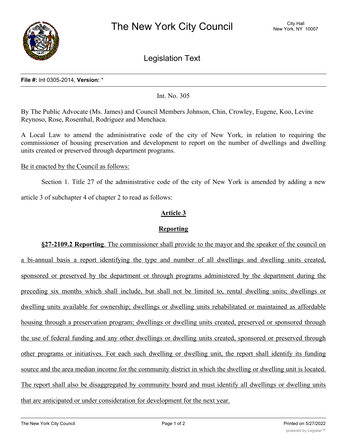

Legislation Text

#### **File #:** Int 0305-2014, **Version:** \*

### Int. No. 305

By The Public Advocate (Ms. James) and Council Members Johnson, Chin, Crowley, Eugene, Koo, Levine Reynoso, Rose, Rosenthal, Rodriguez and Menchaca.

A Local Law to amend the administrative code of the city of New York, in relation to requiring the commissioner of housing preservation and development to report on the number of dwellings and dwelling units created or preserved through department programs.

#### Be it enacted by the Council as follows:

Section 1. Title 27 of the administrative code of the city of New York is amended by adding a new article 3 of subchapter 4 of chapter 2 to read as follows:

# **Article 3**

## **Reporting**

**§27-2109.2 Reporting**. The commissioner shall provide to the mayor and the speaker of the council on a bi-annual basis a report identifying the type and number of all dwellings and dwelling units created, sponsored or preserved by the department or through programs administered by the department during the preceding six months which shall include, but shall not be limited to, rental dwelling units; dwellings or dwelling units available for ownership; dwellings or dwelling units rehabilitated or maintained as affordable housing through a preservation program; dwellings or dwelling units created, preserved or sponsored through the use of federal funding and any other dwellings or dwelling units created, sponsored or preserved through other programs or initiatives. For each such dwelling or dwelling unit, the report shall identify its funding source and the area median income for the community district in which the dwelling or dwelling unit is located. The report shall also be disaggregated by community board and must identify all dwellings or dwelling units that are anticipated or under consideration for development for the next year.

 $\mathcal{L}_{\mathcal{L}}$  . This local law shall take effect on June 1, 2014, except that the commissioner of housing that the commissioner of  $\mathcal{L}_{\mathcal{L}}$